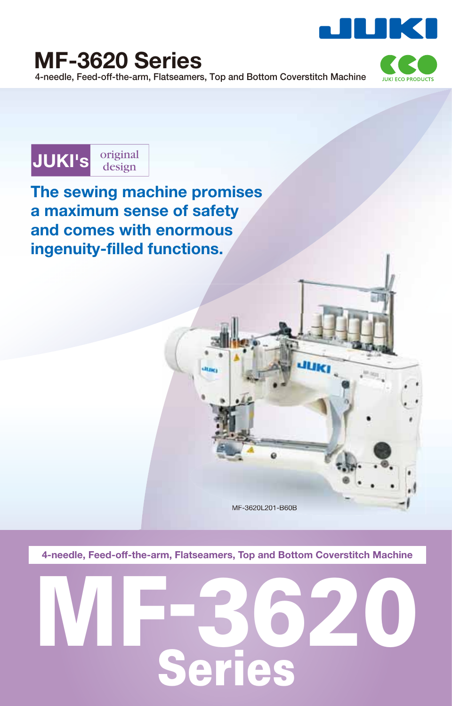







**The sewing machine promises a maximum sense of safety and comes with enormous** ingenuity-filled functions.

MF-3620L201-B60B

é

**4-needle, Feed-off-the-arm, Flatseamers, Top and Bottom Coverstitch Machine**

# **MF-3620 Series**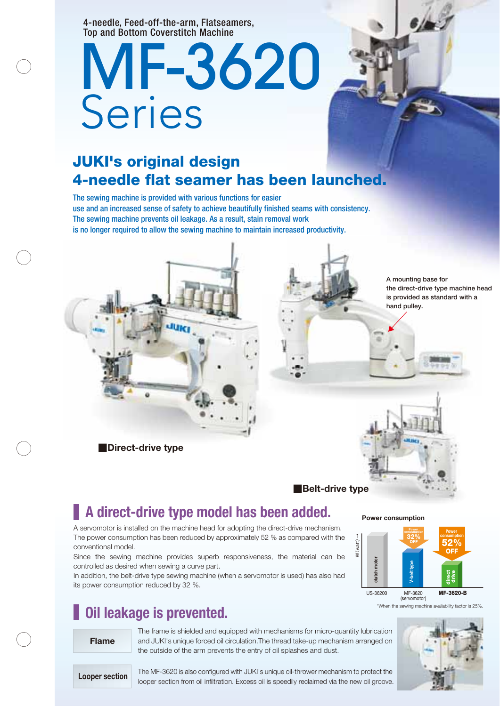4-needle, Feed-off-the-arm, Flatseamers, Top and Bottom Coverstitch Machine

## MF-3620 Series

## **JUKI's original design 4-needle flat seamer has been launched.**

The sewing machine is provided with various functions for easier use and an increased sense of safety to achieve beautifully finished seams with consistency. The sewing machine prevents oil leakage. As a result, stain removal work is no longer required to allow the sewing machine to maintain increased productivity.



**■Direct-drive type**

**A mounting base for the direct-drive type machine head is provided as standard with a hand pulley.**



## **A direct-drive type model has been added.**

A servomotor is installed on the machine head for adopting the direct-drive mechanism. The power consumption has been reduced by approximately 52 % as compared with the conventional model.

Since the sewing machine provides superb responsiveness, the material can be controlled as desired when sewing a curve part.

In addition, the belt-drive type sewing machine (when a servomotor is used) has also had its power consumption reduced by 32 %.

## **Oil leakage is prevented.**

#### **Flame**

The frame is shielded and equipped with mechanisms for micro-quantity lubrication and JUKI's unique forced oil circulation.The thread take-up mechanism arranged on the outside of the arm prevents the entry of oil splashes and dust.

**Power consumption**



\*When the sewing machine availability factor is 25%.



**Looper section**

The MF-3620 is also configured with JUKI's unique oil-thrower mechanism to protect the looper section from oil infiltration. Excess oil is speedily reclaimed via the new oil groove.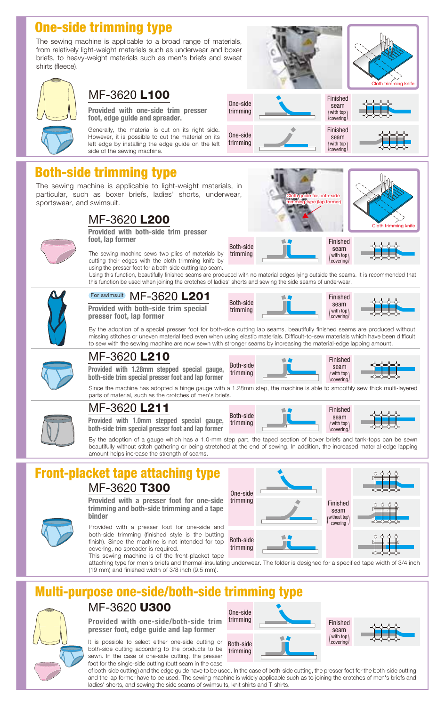## **One-side trimming type**

The sewing machine is applicable to a broad range of materials, from relatively light-weight materials such as underwear and boxer briefs, to heavy-weight materials such as men's briefs and sweat shirts (fleece).



## MF-3620 **L100**

**Provided with one-side trim presser foot, edge guide and spreader.**

Generally, the material is cut on its right side. However, it is possible to cut the material on its left edge by installing the edge guide on the left side of the sewing machine.

## **Both-side trimming type**

The sewing machine is applicable to light-weight materials, in particular, such as boxer briefs, ladies' shorts, underwear, sportswear, and swimsuit.

## MF-3620 **L200**



**Provided with both-side trim presser foot, lap former**

The sewing machine sews two plies of materials by cutting their edges with the cloth trimming knife by using the presser foot for a both-side cutting lap seam.

Using this function, beautifully finished seams are produced with no material edges lying outside the seams. It is recommended that this function be used when joining the crotches of ladies' shorts and sewing the side seams of underwear.



#### MF-3620 **L201** For swimsuit

**Provided with both-side trim special presser foot, lap former**



both-side

Finished seam with top covering

Finished seam with top

Finished seam with top  $\Gamma$ covering

Finished seam with top  $\Gamma$ covering

trimming type (lap former)

Cloth trimming knife

Cloth trimming knife

By the adoption of a special presser foot for both-side cutting lap seams, beautifully finished seams are produced without missing stitches or uneven material feed even when using elastic materials. Difficult-to-sew materials which have been difficult to sew with the sewing machine are now sewn with stronger seams by increasing the material-edge lapping amount.

One-side trimming

One-side trimming

Both-side trimming



**Provided with 1.28mm stepped special gauge, both-side trim special presser foot and lap former** Both-side trimming

Since the machine has adopted a hinge gauge with a 1.28mm step, the machine is able to smoothly sew thick multi-layered parts of material, such as the crotches of men's briefs. (covering



#### MF-3620 **L211**

MF-3620 **L210**

**Provided with 1.0mm stepped special gauge, both-side trim special presser foot and lap former**





By the adoption of a gauge which has a 1.0-mm step part, the taped section of boxer briefs and tank-tops can be sewn beautifully without stitch gathering or being stretched at the end of sewing. In addition, the increased material-edge lapping amount helps increase the strength of seams.

#### **Front-placket tape attaching type** MF-3620 **T300**



Provided with a presser foot for one-side and both-side trimming (finished style is the butting finish). Since the machine is not intended for top covering, no spreader is required.



This sewing machine is of the front-placket tape attaching type for men's briefs and thermal-insulating underwear. The folder is designed for a specified tape width of 3/4 inch (19 mm) and finished width of 3/8 inch (9.5 mm).

## **Julti-purpose one-side/both-side trimmi**

## MF-3620 **U300**

**Provided with one-side/both-side trim presser foot, edge guide and lap former**

It is possible to select either one-side cutting or both-side cutting according to the products to be sewn. In the case of one-side cutting, the presser foot for the single-side cutting (butt seam in the case



of both-side cutting) and the edge guide have to be used. In the case of both-side cutting, the presser foot for the both-side cutting and the lap former have to be used. The sewing machine is widely applicable such as to joining the crotches of men's briefs and ladies' shorts, and sewing the side seams of swimsuits, knit shirts and T-shirts.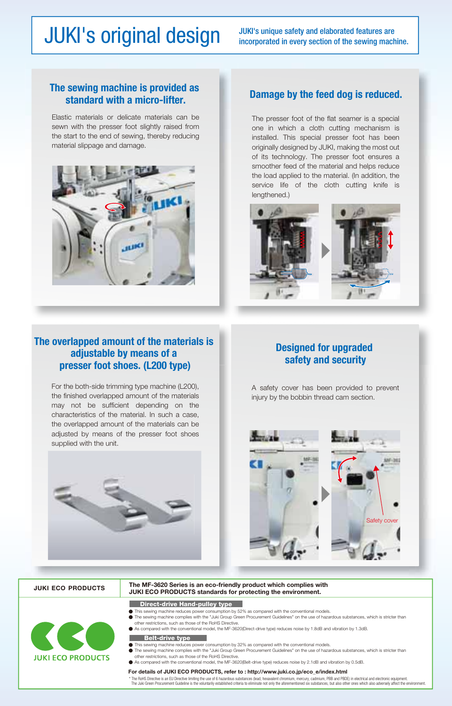## JUKI's original design JUKI's unique safety and elaborated features are incorporated in every section of the sewing machine.

#### **The sewing machine is provided as standard with a micro-lifter.**

Elastic materials or delicate materials can be sewn with the presser foot slightly raised from the start to the end of sewing, thereby reducing material slippage and damage.



### **Damage by the feed dog is reduced.**

The presser foot of the flat seamer is a special one in which a cloth cutting mechanism is installed. This special presser foot has been originally designed by JUKI, making the most out of its technology. The presser foot ensures a smoother feed of the material and helps reduce the load applied to the material. (In addition, the service life of the cloth cutting knife is lengthened.)



#### **The overlapped amount of the materials is adjustable by means of a presser foot shoes. (L200 type)**

For the both-side trimming type machine (L200), the finished overlapped amount of the materials may not be sufficient depending on the characteristics of the material. In such a case, the overlapped amount of the materials can be adjusted by means of the presser foot shoes supplied with the unit.



A safety cover has been provided to prevent injury by the bobbin thread cam section.



#### **JUKI ECO PRODUCTS**

#### **The MF-3620 Series is an eco-friendly product which complies with JUKI ECO PRODUCTS standards for protecting the environment.**

#### **Direct-drive Hand-pulley type**

- **JUKI ECO PRODUCTS**
- other restrictions, such as those of the RoHS Directive.<br>As compared with the conventional model, the MF-3620(Direct-drive type) reduces noise by 1.8dB and vibration by 1.3dB.
- 

#### **Belt-drive type**

- 
- This sewing machine reduces power consumption by 32% as compared with the conventional models.<br>The sewing machine complies with the "Juki Group Green Procurement Guidelines" on the use of hazardous substances, which is str other restrictions, such as those of the RoHS Directive.

This sewing machine reduces power consumption by 52% as compared with the conventional models.<br>The sewing machine complies with the "Juki Group Green Procurement Guidelines" on the use of hazardous substances, which is str

As compared with the conventional model, the MF-3620(Belt-drive type) reduces noise by 2.1dB and vibration by 0.5dB.

#### **For details of JUKI ECO PRODUCTS, refer to : http://www.juki.co.jp/eco\_e/index.html**

\* The RoHS Directive is an EU Directive limiting the use of 6 hazardous substances (lead, hexavalent chromium, mercury, cadmium, PBB and PBDE) in electrical and electronic equipment.<br>The Juki Green Procurement Guideline is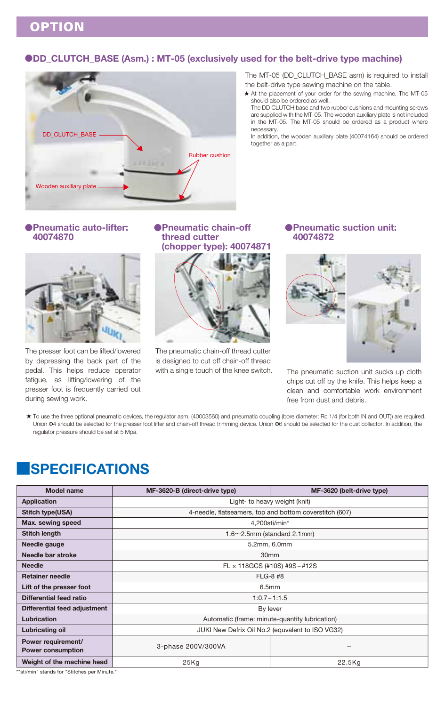**OPTION**

#### **●DD\_CLUTCH\_BASE (Asm.) : MT-05 (exclusively used for the belt-drive type machine)**



The MT-05 (DD\_CLUTCH\_BASE asm) is required to install the belt-drive type sewing machine on the table.

\* At the placement of your order for the sewing machine, The MT-05 should also be ordered as well.

The DD CLUTCH base and two rubber cushions and mounting screws are supplied with the MT-05. The wooden auxiliary plate is not included in the MT-05. The MT-05 should be ordered as a product where necessary.

In addition, the wooden auxiliary plate (40074164) should be ordered together as a part.

#### **●Pneumatic auto-lifter: 40074870**



The presser foot can be lifted/lowered by depressing the back part of the pedal. This helps reduce operator fatigue, as lifting/lowering of the presser foot is frequently carried out during sewing work.

#### **●Pneumatic chain-off thread cutter (chopper type): 40074871**



The pneumatic chain-off thread cutter is designed to cut off chain-off thread with a single touch of the knee switch. The pneumatic suction unit sucks up cloth

#### **●Pneumatic suction unit: 40074872**



chips cut off by the knife. This helps keep a clean and comfortable work environment free from dust and debris.

To use the three optional pneumatic devices, the regulator asm. (40003560) and pneumatic coupling (bore diameter: Rc 1/4 (for both IN and OUT)) are required. Union  $\Phi$ 4 should be selected for the presser foot lifter and chain-off thread trimming device. Union  $\Phi$ 6 should be selected for the dust collector. In addition, the regulator pressure should be set at 5 Mpa.

### **■SPECIFICATIONS**

| <b>Model name</b>                              | MF-3620-B (direct-drive type)                           | MF-3620 (belt-drive type) |  |
|------------------------------------------------|---------------------------------------------------------|---------------------------|--|
| <b>Application</b>                             | Light- to heavy weight (knit)                           |                           |  |
| <b>Stitch type(USA)</b>                        | 4-needle, flatseamers, top and bottom coverstitch (607) |                           |  |
| Max. sewing speed                              | 4,200sti/min*                                           |                           |  |
| Stitch length                                  | $1.6 \sim 2.5$ mm (standard 2.1mm)                      |                           |  |
| Needle gauge                                   | 5.2mm, 6.0mm                                            |                           |  |
| Needle bar stroke                              | 30 <sub>mm</sub>                                        |                           |  |
| <b>Needle</b>                                  | FL $\times$ 118GCS (#10S) #9S ~ #12S                    |                           |  |
| <b>Retainer needle</b>                         | <b>FLG-8 #8</b>                                         |                           |  |
| Lift of the presser foot                       | 6.5 <sub>mm</sub>                                       |                           |  |
| Differential feed ratio                        | $1:0.7 \sim 1:1.5$                                      |                           |  |
| Differential feed adjustment                   | By lever                                                |                           |  |
| Lubrication                                    | Automatic (frame: minute-quantity lubrication)          |                           |  |
| <b>Lubricating oil</b>                         | JUKI New Defrix Oil No.2 (equvalent to ISO VG32)        |                           |  |
| Power requirement/<br><b>Power consumption</b> | 3-phase 200V/300VA                                      |                           |  |
| Weight of the machine head                     | 25Kq                                                    | 22.5Kg                    |  |

\*"sti/min" stands for "Stitches per Minute."